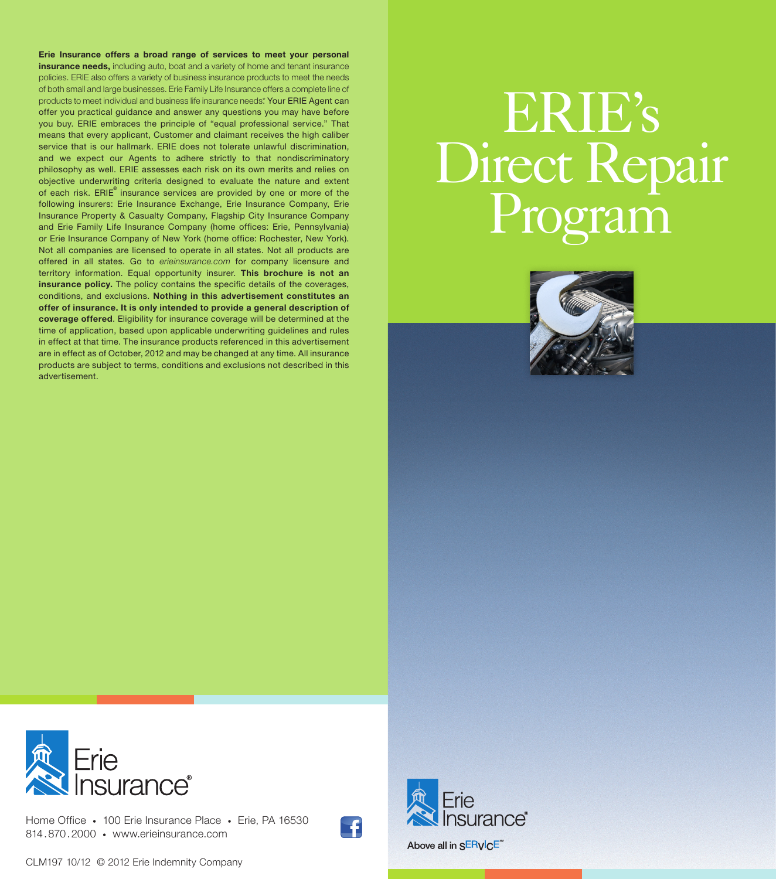Erie Insurance offers a broad range of services to meet your personal insurance needs, including auto, boat and a variety of home and tenant insurance policies. ERIE also offers a variety of business insurance products to meet the needs of both small and large businesses. Erie Family Life Insurance offers a complete line of products to meet individual and business life insurance needs\* Your ERIE Agent can offer you practical guidance and answer any questions you may have before you buy. ERIE embraces the principle of "equal professional service." That means that every applicant, Customer and claimant receives the high caliber service that is our hallmark. ERIE does not tolerate unlawful discrimination, and we expect our Agents to adhere strictly to that nondiscriminatory philosophy as well. ERIE assesses each risk on its own merits and relies on objective underwriting criteria designed to evaluate the nature and extent of each risk. ERIE® insurance services are provided by one or more of the following insurers: Erie Insurance Exchange, Erie Insurance Company, Erie Insurance Property & Casualty Company, Flagship City Insurance Company and Erie Family Life Insurance Company (home offices: Erie, Pennsylvania) or Erie Insurance Company of New York (home office: Rochester, New York). Not all companies are licensed to operate in all states. Not all products are offered in all states. Go to *erieinsurance.com* for company licensure and territory information. Equal opportunity insurer. This brochure is not an insurance policy. The policy contains the specific details of the coverages, conditions, and exclusions. Nothing in this advertisement constitutes an offer of insurance. It is only intended to provide a general description of coverage offered. Eligibility for insurance coverage will be determined at the time of application, based upon applicable underwriting guidelines and rules in effect at that time. The insurance products referenced in this advertisement are in effect as of October, 2012 and may be changed at any time. All insurance products are subject to terms, conditions and exclusions not described in this advertisement.

# ERIE's Direct Repair





Home Office • 100 Erie Insurance Place • Erie, PA 16530 814.870.2000 • www.erieinsurance.com



nsurance" Above all in SERVICE<sup>\*\*</sup>

CLM197 10/12 © 2012 Erie Indemnity Company